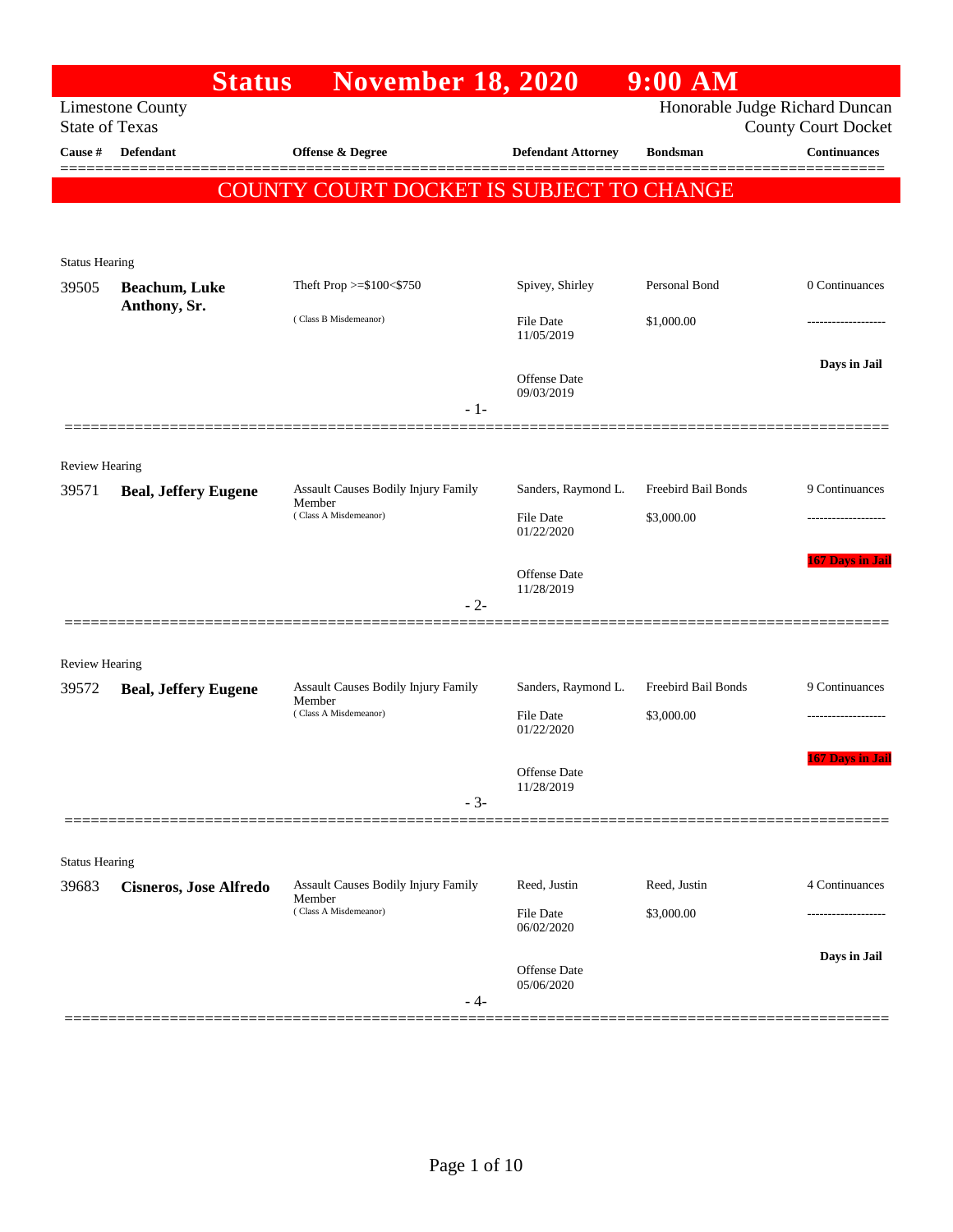|                         | <b>Status</b>                 | <b>November 18, 2020</b>                                               |                                                       | $9:00$ AM                         |                                                              |
|-------------------------|-------------------------------|------------------------------------------------------------------------|-------------------------------------------------------|-----------------------------------|--------------------------------------------------------------|
| <b>State of Texas</b>   | <b>Limestone County</b>       |                                                                        |                                                       |                                   | Honorable Judge Richard Duncan<br><b>County Court Docket</b> |
| Cause #                 | <b>Defendant</b>              | <b>Offense &amp; Degree</b>                                            | <b>Defendant Attorney</b>                             | <b>Bondsman</b>                   | <b>Continuances</b>                                          |
|                         |                               | COUNTY COURT DOCKET IS SUBJECT TO CHANGE                               |                                                       |                                   |                                                              |
| <b>Status Hearing</b>   |                               |                                                                        |                                                       |                                   |                                                              |
| 39505                   | <b>Beachum</b> , Luke         | Theft Prop >=\$100<\$750                                               | Spivey, Shirley                                       | Personal Bond                     | 0 Continuances                                               |
|                         | Anthony, Sr.                  | (Class B Misdemeanor)                                                  | <b>File Date</b><br>11/05/2019                        | \$1,000.00                        |                                                              |
|                         |                               | $-1-$                                                                  | Offense Date<br>09/03/2019                            |                                   | Days in Jail                                                 |
|                         |                               |                                                                        |                                                       |                                   |                                                              |
| Review Hearing<br>39571 | <b>Beal, Jeffery Eugene</b>   | Assault Causes Bodily Injury Family<br>Member<br>(Class A Misdemeanor) | Sanders, Raymond L.<br><b>File Date</b><br>01/22/2020 | Freebird Bail Bonds<br>\$3,000.00 | 9 Continuances                                               |
|                         |                               | $-2-$                                                                  | Offense Date<br>11/28/2019                            |                                   | <b>167 Days in Jail</b>                                      |
| <b>Review Hearing</b>   |                               |                                                                        |                                                       |                                   |                                                              |
| 39572                   | <b>Beal, Jeffery Eugene</b>   | Assault Causes Bodily Injury Family                                    | Sanders, Raymond L.                                   | Freebird Bail Bonds               | 9 Continuances                                               |
|                         |                               | Member<br>(Class A Misdemeanor)                                        | <b>File Date</b><br>01/22/2020                        | \$3,000.00                        |                                                              |
|                         |                               | $-3-$                                                                  | Offense Date<br>11/28/2019                            |                                   | <b>167 Days in Jail</b>                                      |
|                         |                               |                                                                        |                                                       |                                   |                                                              |
| <b>Status Hearing</b>   |                               |                                                                        |                                                       |                                   |                                                              |
| 39683                   | <b>Cisneros, Jose Alfredo</b> | <b>Assault Causes Bodily Injury Family</b><br>Member                   | Reed, Justin                                          | Reed, Justin                      | 4 Continuances                                               |
|                         |                               | (Class A Misdemeanor)                                                  | File Date<br>06/02/2020                               | \$3,000.00                        |                                                              |
|                         |                               | - 4-                                                                   | Offense Date<br>05/06/2020                            |                                   | Days in Jail                                                 |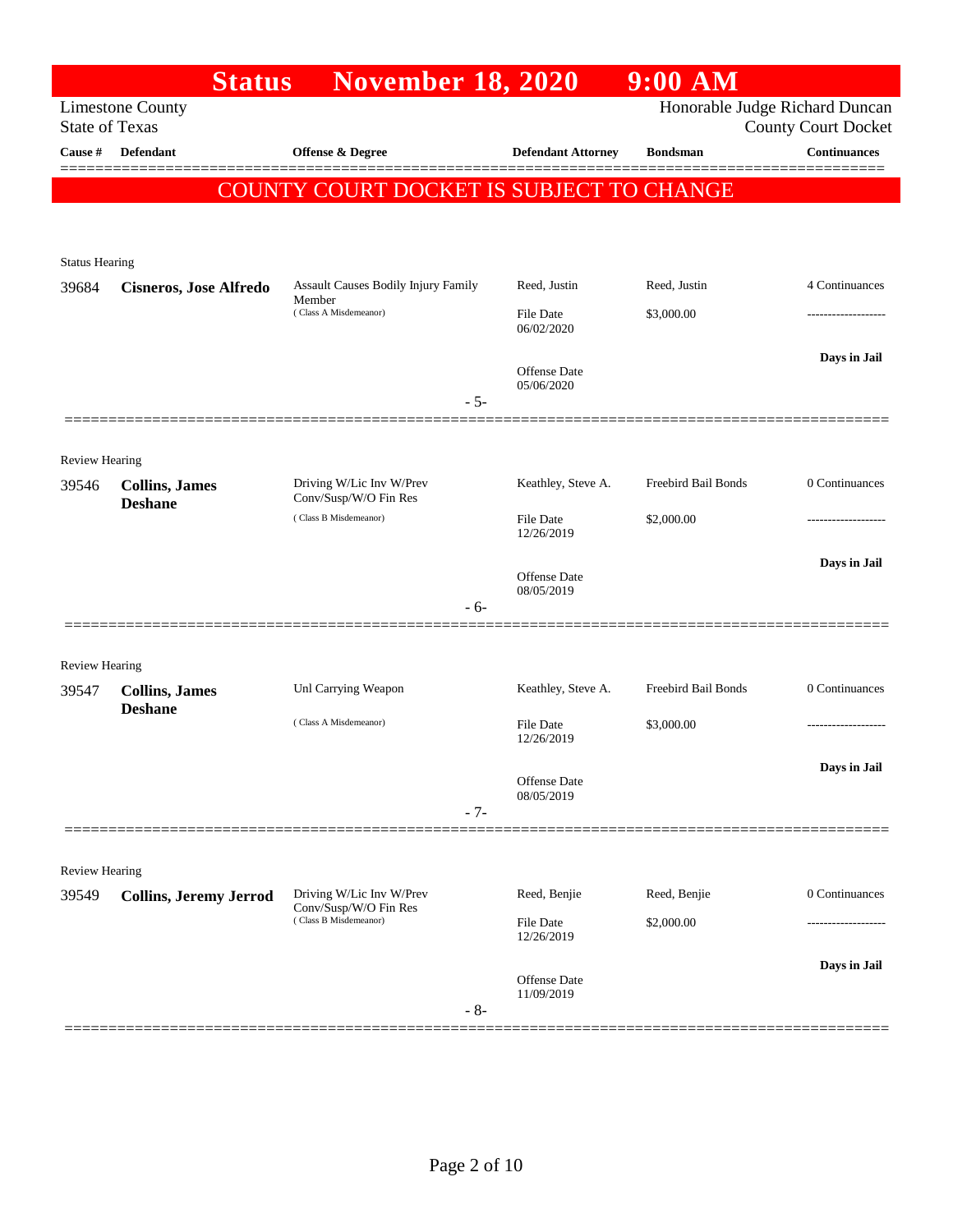|                         | <b>Status</b>                 | <b>November 18, 2020</b>                          |                                | $9:00$ AM           |                                |
|-------------------------|-------------------------------|---------------------------------------------------|--------------------------------|---------------------|--------------------------------|
|                         | <b>Limestone County</b>       |                                                   |                                |                     | Honorable Judge Richard Duncan |
| <b>State of Texas</b>   |                               |                                                   |                                |                     | <b>County Court Docket</b>     |
| Cause #                 | Defendant                     | Offense & Degree                                  | <b>Defendant Attorney</b>      | <b>Bondsman</b>     | <b>Continuances</b>            |
|                         |                               | COUNTY COURT DOCKET IS SUBJECT TO CHANGE          |                                |                     |                                |
|                         |                               |                                                   |                                |                     |                                |
|                         |                               |                                                   |                                |                     |                                |
| <b>Status Hearing</b>   |                               |                                                   |                                |                     |                                |
| 39684                   | <b>Cisneros, Jose Alfredo</b> | Assault Causes Bodily Injury Family<br>Member     | Reed, Justin                   | Reed, Justin        | 4 Continuances                 |
|                         |                               | (Class A Misdemeanor)                             | <b>File Date</b><br>06/02/2020 | \$3,000.00          |                                |
|                         |                               |                                                   |                                |                     | Days in Jail                   |
|                         |                               |                                                   | Offense Date<br>05/06/2020     |                     |                                |
|                         |                               | $-5-$                                             |                                |                     |                                |
|                         |                               |                                                   |                                |                     |                                |
| Review Hearing          |                               |                                                   |                                |                     |                                |
| 39546                   | <b>Collins, James</b>         | Driving W/Lic Inv W/Prev<br>Conv/Susp/W/O Fin Res | Keathley, Steve A.             | Freebird Bail Bonds | 0 Continuances                 |
|                         | <b>Deshane</b>                | (Class B Misdemeanor)                             | <b>File Date</b>               | \$2,000.00          |                                |
|                         |                               |                                                   | 12/26/2019                     |                     |                                |
|                         |                               |                                                   | Offense Date                   |                     | Days in Jail                   |
|                         |                               | - 6-                                              | 08/05/2019                     |                     |                                |
|                         |                               |                                                   |                                |                     |                                |
|                         |                               |                                                   |                                |                     |                                |
| Review Hearing<br>39547 | <b>Collins</b> , James        | Unl Carrying Weapon                               | Keathley, Steve A.             | Freebird Bail Bonds | 0 Continuances                 |
|                         | <b>Deshane</b>                |                                                   |                                |                     |                                |
|                         |                               | (Class A Misdemeanor)                             | <b>File Date</b><br>12/26/2019 | \$3,000.00          |                                |
|                         |                               |                                                   |                                |                     | Days in Jail                   |
|                         |                               |                                                   | Offense Date<br>08/05/2019     |                     |                                |
|                         |                               | $-7-$                                             |                                |                     |                                |
|                         |                               |                                                   |                                |                     |                                |
| Review Hearing          |                               |                                                   |                                |                     |                                |
| 39549                   | <b>Collins, Jeremy Jerrod</b> | Driving W/Lic Inv W/Prev<br>Conv/Susp/W/O Fin Res | Reed, Benjie                   | Reed, Benjie        | 0 Continuances                 |
|                         |                               | (Class B Misdemeanor)                             | <b>File Date</b>               | \$2,000.00          |                                |
|                         |                               |                                                   | 12/26/2019                     |                     |                                |
|                         |                               |                                                   | Offense Date                   |                     | Days in Jail                   |
|                         |                               | $-8-$                                             | 11/09/2019                     |                     |                                |
|                         |                               |                                                   |                                |                     |                                |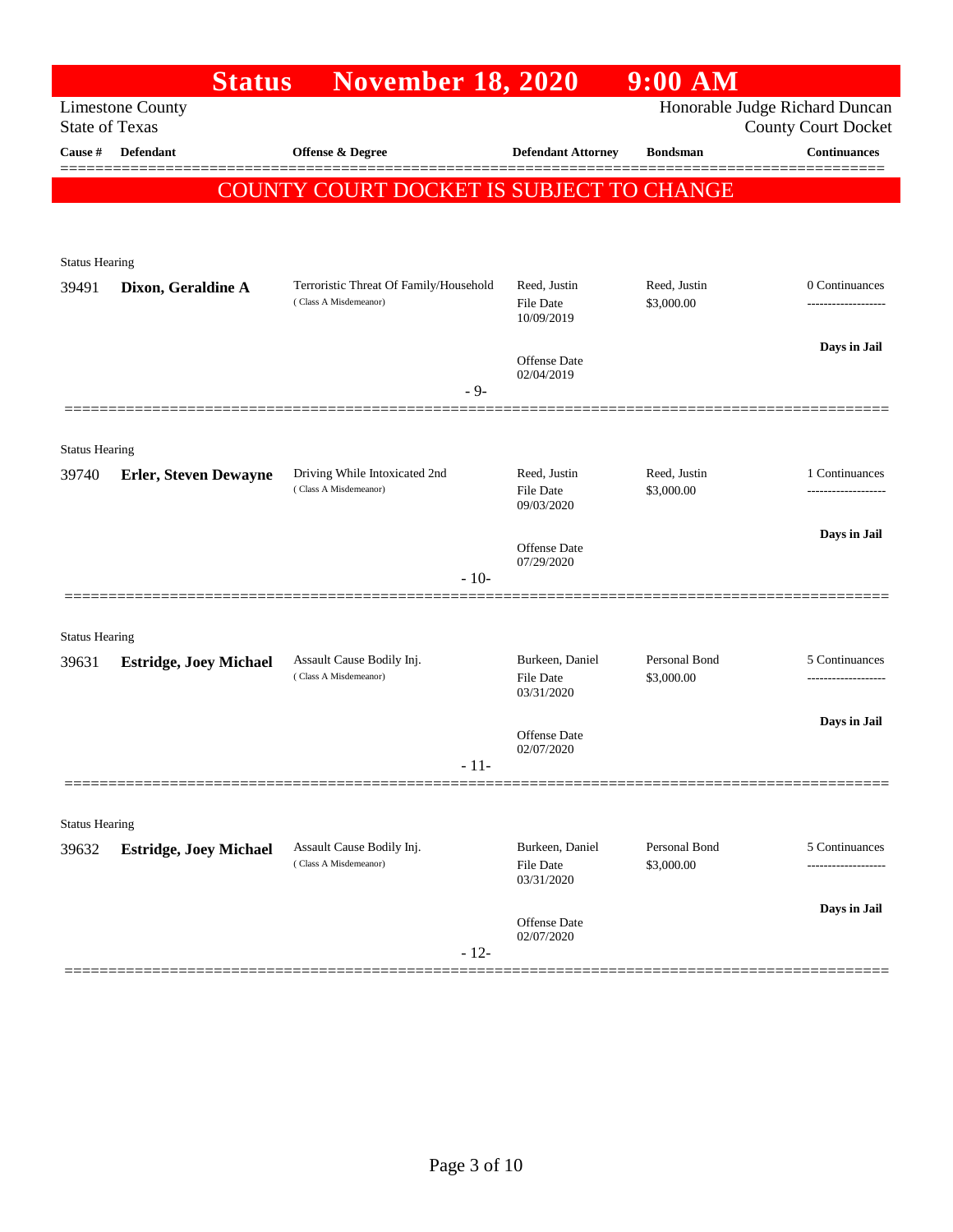|                       | <b>Status</b>                 | <b>November 18, 2020</b>                                        |                                                   | 9:00 AM                     |                                                              |
|-----------------------|-------------------------------|-----------------------------------------------------------------|---------------------------------------------------|-----------------------------|--------------------------------------------------------------|
| <b>State of Texas</b> | <b>Limestone County</b>       |                                                                 |                                                   |                             | Honorable Judge Richard Duncan<br><b>County Court Docket</b> |
| Cause #               | <b>Defendant</b>              | <b>Offense &amp; Degree</b>                                     | <b>Defendant Attorney</b>                         | <b>Bondsman</b>             | <b>Continuances</b>                                          |
|                       |                               | COUNTY COURT DOCKET IS SUBJECT TO CHANGE                        |                                                   |                             |                                                              |
|                       |                               |                                                                 |                                                   |                             |                                                              |
|                       |                               |                                                                 |                                                   |                             |                                                              |
| <b>Status Hearing</b> |                               |                                                                 |                                                   |                             |                                                              |
| 39491                 | Dixon, Geraldine A            | Terroristic Threat Of Family/Household<br>(Class A Misdemeanor) | Reed, Justin<br><b>File Date</b><br>10/09/2019    | Reed, Justin<br>\$3,000.00  | 0 Continuances<br>-----------------                          |
|                       |                               |                                                                 | Offense Date<br>02/04/2019                        |                             | Days in Jail                                                 |
|                       |                               | $-9-$                                                           |                                                   |                             |                                                              |
|                       |                               |                                                                 |                                                   |                             |                                                              |
| <b>Status Hearing</b> |                               |                                                                 |                                                   |                             |                                                              |
| 39740                 | <b>Erler, Steven Dewayne</b>  | Driving While Intoxicated 2nd<br>(Class A Misdemeanor)          | Reed, Justin<br><b>File Date</b><br>09/03/2020    | Reed, Justin<br>\$3,000.00  | 1 Continuances                                               |
|                       |                               |                                                                 | Offense Date<br>07/29/2020                        |                             | Days in Jail                                                 |
|                       |                               | $-10-$                                                          |                                                   |                             |                                                              |
|                       |                               |                                                                 |                                                   |                             |                                                              |
| <b>Status Hearing</b> |                               |                                                                 |                                                   |                             |                                                              |
| 39631                 | <b>Estridge, Joey Michael</b> | Assault Cause Bodily Inj.<br>(Class A Misdemeanor)              | Burkeen, Daniel<br><b>File Date</b><br>03/31/2020 | Personal Bond<br>\$3,000.00 | 5 Continuances                                               |
|                       |                               |                                                                 |                                                   |                             | Days in Jail                                                 |
|                       |                               |                                                                 | Offense Date<br>02/07/2020                        |                             |                                                              |
|                       |                               | $-11-$                                                          |                                                   |                             |                                                              |
| <b>Status Hearing</b> |                               |                                                                 |                                                   |                             |                                                              |
| 39632                 | <b>Estridge, Joey Michael</b> | Assault Cause Bodily Inj.<br>(Class A Misdemeanor)              | Burkeen, Daniel<br>File Date                      | Personal Bond<br>\$3,000.00 | 5 Continuances                                               |
|                       |                               |                                                                 | 03/31/2020                                        |                             | Days in Jail                                                 |
|                       |                               | $-12-$                                                          | Offense Date<br>02/07/2020                        |                             |                                                              |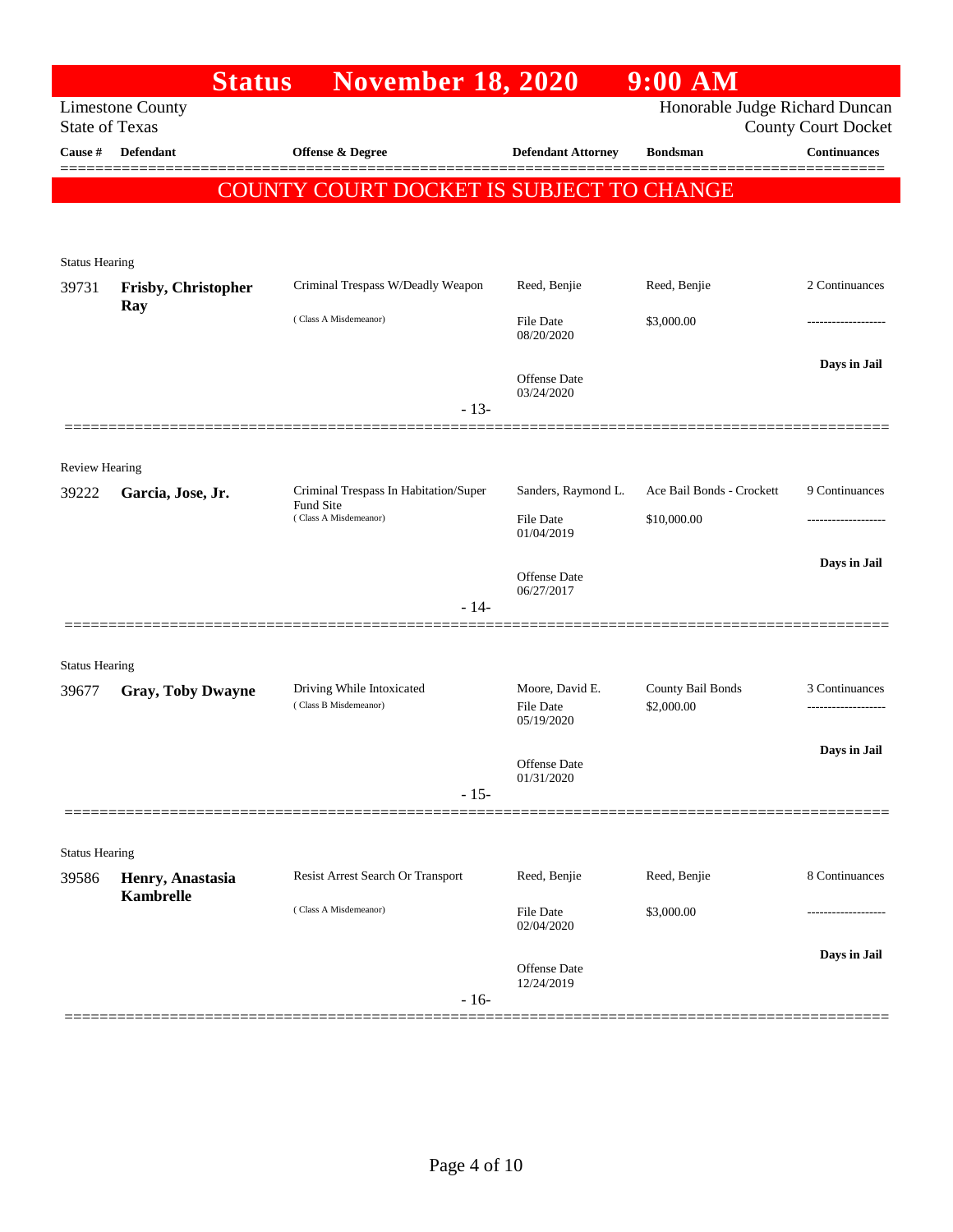|                                | <b>Status</b>                        | <b>November 18, 2020</b>                                   |                                                   | $9:00$ AM                       |                                       |
|--------------------------------|--------------------------------------|------------------------------------------------------------|---------------------------------------------------|---------------------------------|---------------------------------------|
| <b>State of Texas</b>          | <b>Limestone County</b>              |                                                            |                                                   | Honorable Judge Richard Duncan  | <b>County Court Docket</b>            |
| Cause #                        | Defendant                            | Offense & Degree                                           | <b>Defendant Attorney</b>                         | <b>Bondsman</b>                 | <b>Continuances</b><br>=======        |
|                                |                                      | COUNTY COURT DOCKET IS SUBJECT TO CHANGE                   |                                                   |                                 |                                       |
| <b>Status Hearing</b>          |                                      |                                                            |                                                   |                                 |                                       |
| 39731                          | Frisby, Christopher<br>Ray           | Criminal Trespass W/Deadly Weapon                          | Reed, Benjie                                      | Reed, Benjie                    | 2 Continuances                        |
|                                |                                      | (Class A Misdemeanor)                                      | File Date<br>08/20/2020                           | \$3,000.00                      |                                       |
|                                |                                      | $-13-$                                                     | <b>Offense</b> Date<br>03/24/2020                 |                                 | Days in Jail                          |
|                                |                                      |                                                            |                                                   |                                 |                                       |
| <b>Review Hearing</b><br>39222 | Garcia, Jose, Jr.                    | Criminal Trespass In Habitation/Super<br>Fund Site         | Sanders, Raymond L.                               | Ace Bail Bonds - Crockett       | 9 Continuances                        |
|                                |                                      | (Class A Misdemeanor)                                      | File Date<br>01/04/2019                           | \$10,000.00                     |                                       |
|                                |                                      |                                                            | Offense Date<br>06/27/2017                        |                                 | Days in Jail                          |
|                                |                                      | $-14-$                                                     |                                                   |                                 |                                       |
| <b>Status Hearing</b>          |                                      |                                                            |                                                   |                                 |                                       |
| 39677                          | <b>Gray, Toby Dwayne</b>             | Driving While Intoxicated<br>(Class B Misdemeanor)         | Moore, David E.<br><b>File Date</b><br>05/19/2020 | County Bail Bonds<br>\$2,000.00 | 3 Continuances<br>------------------- |
|                                |                                      | $-15-$                                                     | Offense Date<br>01/31/2020                        |                                 | Days in Jail                          |
|                                |                                      |                                                            |                                                   |                                 |                                       |
| <b>Status Hearing</b>          |                                      |                                                            |                                                   |                                 |                                       |
| 39586                          | Henry, Anastasia<br><b>Kambrelle</b> | Resist Arrest Search Or Transport<br>(Class A Misdemeanor) | Reed, Benjie<br>File Date                         | Reed, Benjie<br>\$3,000.00      | 8 Continuances                        |
|                                |                                      |                                                            | 02/04/2020                                        |                                 |                                       |
|                                |                                      | $-16-$                                                     | Offense Date<br>12/24/2019                        |                                 | Days in Jail                          |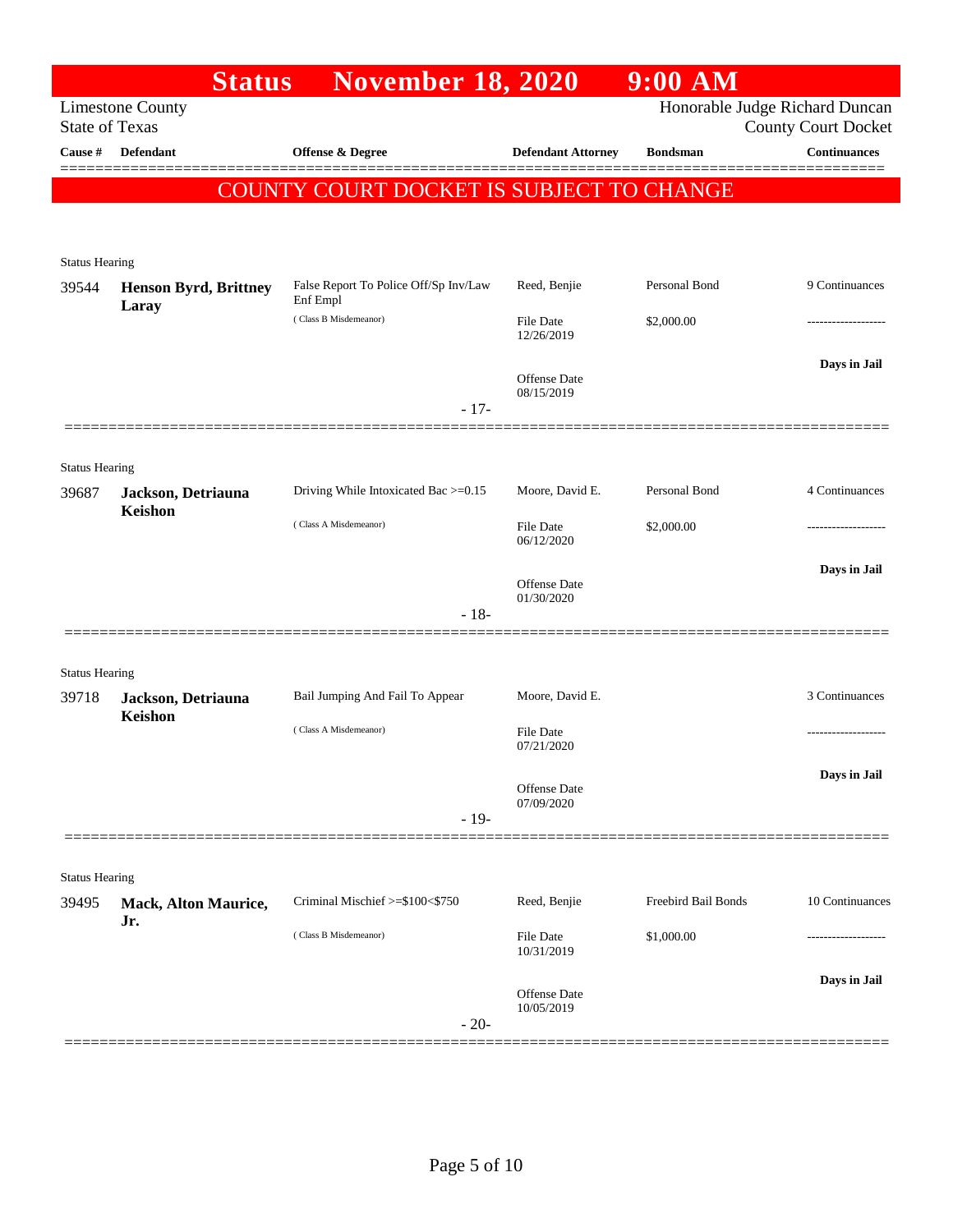|                       | <b>Status</b>                         | <b>November 18, 2020</b>                          |                                | $9:00$ AM           |                                                              |
|-----------------------|---------------------------------------|---------------------------------------------------|--------------------------------|---------------------|--------------------------------------------------------------|
| <b>State of Texas</b> | <b>Limestone County</b>               |                                                   |                                |                     | Honorable Judge Richard Duncan<br><b>County Court Docket</b> |
| Cause #               | <b>Defendant</b>                      | Offense & Degree                                  | <b>Defendant Attorney</b>      | <b>Bondsman</b>     | Continuances                                                 |
|                       |                                       | COUNTY COURT DOCKET IS SUBJECT TO CHANGE          |                                |                     |                                                              |
|                       |                                       |                                                   |                                |                     |                                                              |
|                       |                                       |                                                   |                                |                     |                                                              |
| <b>Status Hearing</b> |                                       |                                                   |                                |                     |                                                              |
| 39544                 | <b>Henson Byrd, Brittney</b><br>Laray | False Report To Police Off/Sp Inv/Law<br>Enf Empl | Reed, Benjie                   | Personal Bond       | 9 Continuances                                               |
|                       |                                       | (Class B Misdemeanor)                             | <b>File Date</b><br>12/26/2019 | \$2,000.00          |                                                              |
|                       |                                       |                                                   |                                |                     | Days in Jail                                                 |
|                       |                                       |                                                   | Offense Date<br>08/15/2019     |                     |                                                              |
|                       |                                       | $-17-$                                            |                                |                     |                                                              |
|                       |                                       |                                                   |                                |                     |                                                              |
| <b>Status Hearing</b> |                                       |                                                   |                                |                     |                                                              |
| 39687                 | Jackson, Detriauna                    | Driving While Intoxicated Bac >=0.15              | Moore, David E.                | Personal Bond       | 4 Continuances                                               |
|                       | Keishon                               | (Class A Misdemeanor)                             | <b>File Date</b>               | \$2,000.00          |                                                              |
|                       |                                       |                                                   | 06/12/2020                     |                     |                                                              |
|                       |                                       |                                                   | Offense Date                   |                     | Days in Jail                                                 |
|                       |                                       | $-18-$                                            | 01/30/2020                     |                     |                                                              |
|                       |                                       |                                                   |                                |                     |                                                              |
| <b>Status Hearing</b> |                                       |                                                   |                                |                     |                                                              |
| 39718                 | Jackson, Detriauna                    | Bail Jumping And Fail To Appear                   | Moore, David E.                |                     | 3 Continuances                                               |
|                       | Keishon                               | (Class A Misdemeanor)                             | <b>File Date</b>               |                     |                                                              |
|                       |                                       |                                                   | 07/21/2020                     |                     |                                                              |
|                       |                                       |                                                   | Offense Date                   |                     | Days in Jail                                                 |
|                       |                                       |                                                   | 07/09/2020                     |                     |                                                              |
|                       |                                       | $-19-$                                            |                                |                     |                                                              |
|                       |                                       |                                                   |                                |                     |                                                              |
| <b>Status Hearing</b> |                                       |                                                   |                                |                     |                                                              |
| 39495                 | <b>Mack, Alton Maurice,</b><br>Jr.    | Criminal Mischief >=\$100<\$750                   | Reed, Benjie                   | Freebird Bail Bonds | 10 Continuances                                              |
|                       |                                       | (Class B Misdemeanor)                             | <b>File Date</b><br>10/31/2019 | \$1,000.00          | --------------                                               |
|                       |                                       |                                                   |                                |                     | Days in Jail                                                 |
|                       |                                       |                                                   | Offense Date<br>10/05/2019     |                     |                                                              |
|                       |                                       | $-20-$                                            |                                |                     |                                                              |
|                       |                                       |                                                   |                                |                     |                                                              |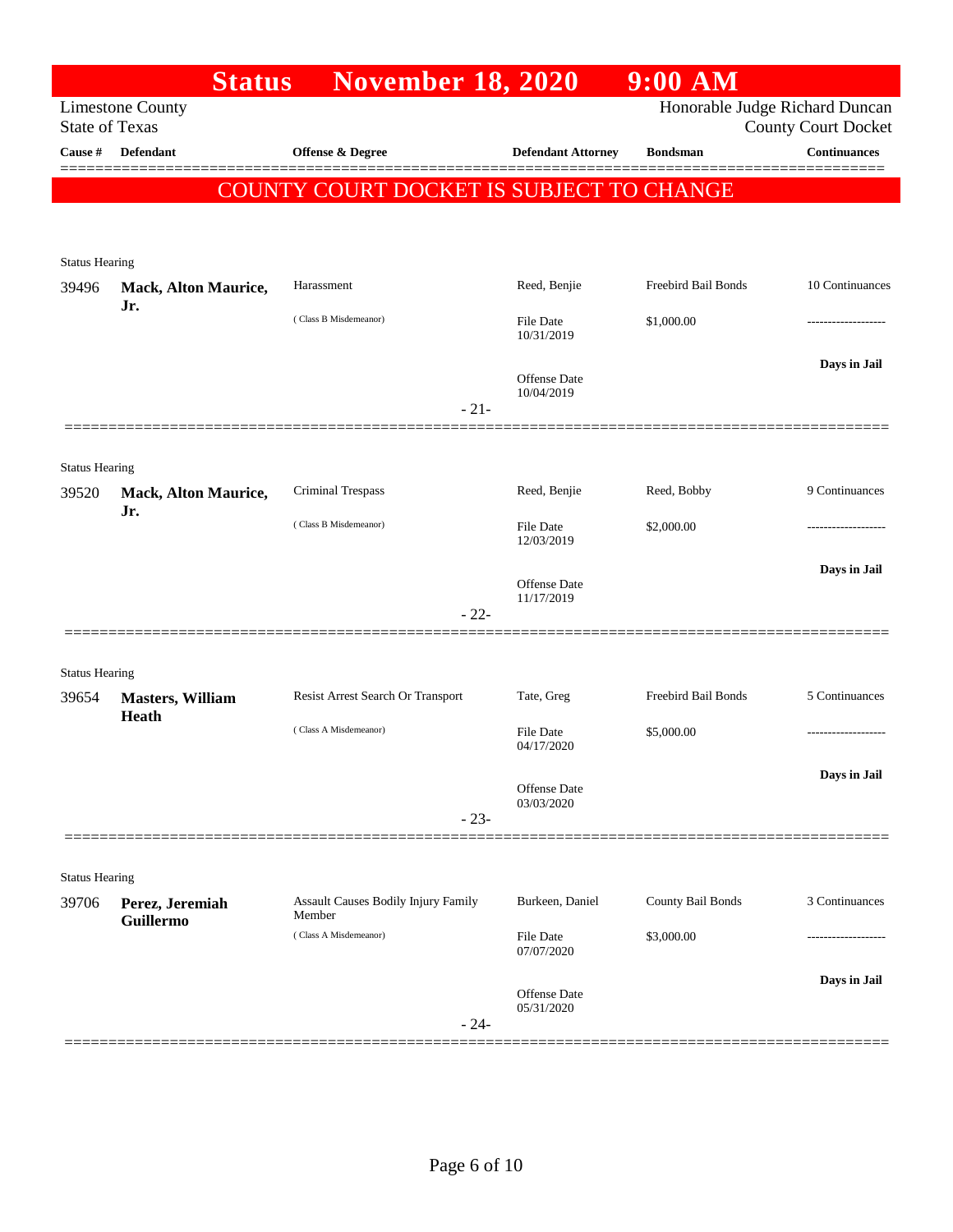|                                | <b>Status</b>                    | <b>November 18, 2020</b>                      |                                   | 9:00 AM             |                                                              |
|--------------------------------|----------------------------------|-----------------------------------------------|-----------------------------------|---------------------|--------------------------------------------------------------|
| <b>State of Texas</b>          | <b>Limestone County</b>          |                                               |                                   |                     | Honorable Judge Richard Duncan<br><b>County Court Docket</b> |
| Cause #                        | Defendant                        | Offense & Degree                              | <b>Defendant Attorney</b>         | <b>Bondsman</b>     | <b>Continuances</b>                                          |
|                                |                                  | COUNTY COURT DOCKET IS SUBJECT TO CHANGE      |                                   |                     |                                                              |
|                                |                                  |                                               |                                   |                     |                                                              |
| <b>Status Hearing</b>          |                                  |                                               |                                   |                     |                                                              |
| 39496                          | Mack, Alton Maurice,             | Harassment                                    | Reed, Benjie                      | Freebird Bail Bonds | 10 Continuances                                              |
|                                | Jr.                              | (Class B Misdemeanor)                         | File Date<br>10/31/2019           | \$1,000.00          |                                                              |
|                                |                                  |                                               | Offense Date<br>10/04/2019        |                     | Days in Jail                                                 |
|                                |                                  | $-21-$                                        |                                   |                     |                                                              |
|                                |                                  |                                               |                                   |                     |                                                              |
| <b>Status Hearing</b><br>39520 | Mack, Alton Maurice,<br>Jr.      | Criminal Trespass                             | Reed, Benjie                      | Reed, Bobby         | 9 Continuances                                               |
|                                |                                  | (Class B Misdemeanor)                         | File Date<br>12/03/2019           | \$2,000.00          |                                                              |
|                                |                                  |                                               | Offense Date<br>11/17/2019        |                     | Days in Jail                                                 |
|                                |                                  | $-22-$                                        |                                   |                     |                                                              |
| <b>Status Hearing</b>          |                                  |                                               |                                   |                     |                                                              |
| 39654                          | <b>Masters, William</b><br>Heath | Resist Arrest Search Or Transport             | Tate, Greg                        | Freebird Bail Bonds | 5 Continuances                                               |
|                                |                                  | (Class A Misdemeanor)                         | <b>File Date</b><br>04/17/2020    | \$5,000.00          | --------------                                               |
|                                |                                  |                                               | Offense Date<br>03/03/2020        |                     | Days in Jail                                                 |
|                                |                                  | $-23-$                                        |                                   |                     |                                                              |
|                                |                                  |                                               |                                   |                     |                                                              |
| <b>Status Hearing</b><br>39706 | Perez, Jeremiah<br>Guillermo     | Assault Causes Bodily Injury Family<br>Member | Burkeen, Daniel                   | County Bail Bonds   | 3 Continuances                                               |
|                                |                                  | (Class A Misdemeanor)                         | File Date<br>07/07/2020           | \$3,000.00          | -----------------                                            |
|                                |                                  | $-24-$                                        | <b>Offense</b> Date<br>05/31/2020 |                     | Days in Jail                                                 |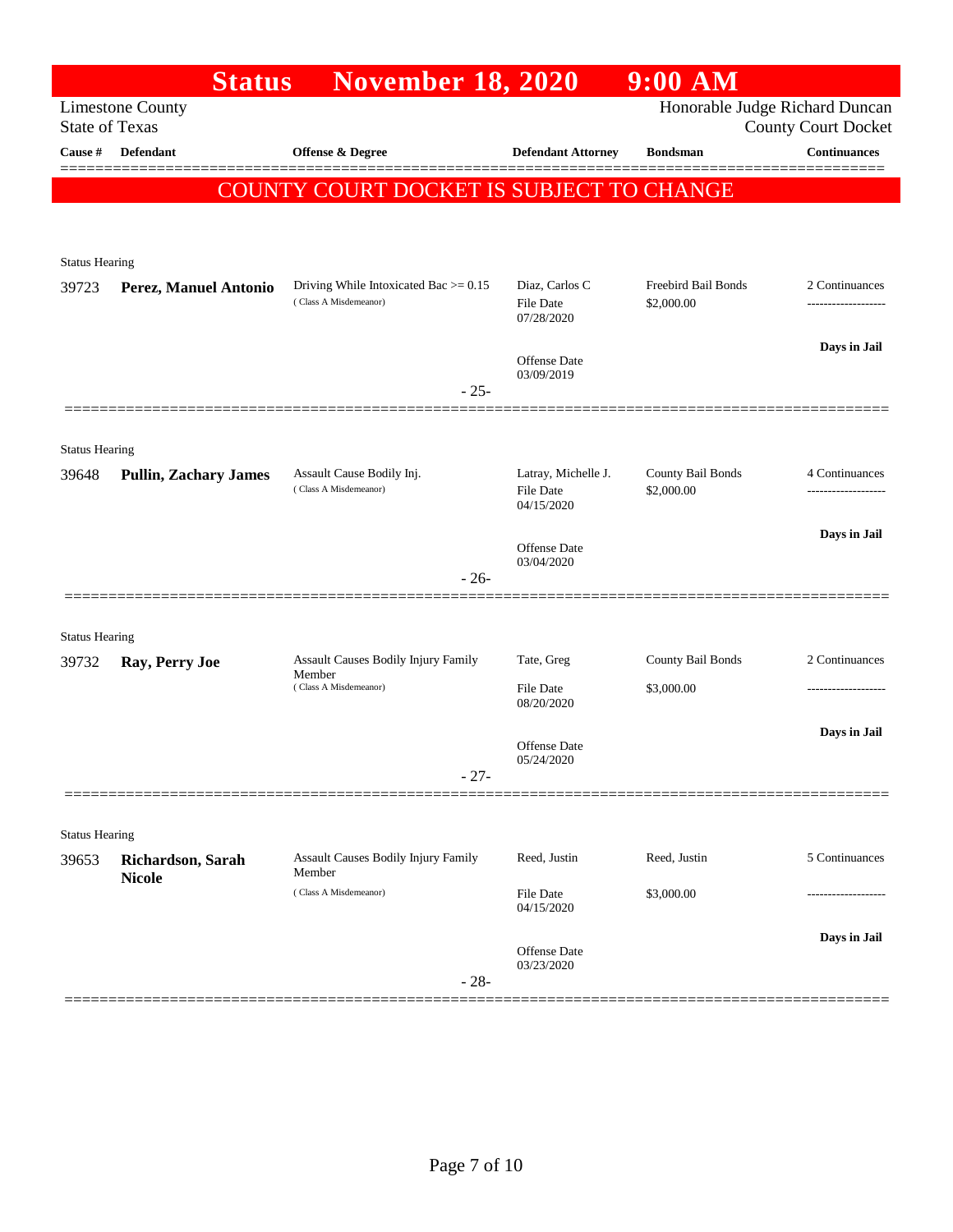|                       | <b>Status</b>                      | <b>November 18, 2020</b>                                          |                                                       | $9:00$ AM                         |                                                              |
|-----------------------|------------------------------------|-------------------------------------------------------------------|-------------------------------------------------------|-----------------------------------|--------------------------------------------------------------|
| <b>State of Texas</b> | <b>Limestone County</b>            |                                                                   |                                                       |                                   | Honorable Judge Richard Duncan<br><b>County Court Docket</b> |
| <b>Cause</b> #        | Defendant                          | <b>Offense &amp; Degree</b>                                       | <b>Defendant Attorney</b>                             | <b>Bondsman</b>                   | Continuances                                                 |
|                       |                                    | <b>COUNTY COURT DOCKET IS SUBJECT TO CHANGE</b>                   |                                                       |                                   |                                                              |
|                       |                                    |                                                                   |                                                       |                                   |                                                              |
| <b>Status Hearing</b> |                                    |                                                                   |                                                       |                                   |                                                              |
| 39723                 | Perez, Manuel Antonio              | Driving While Intoxicated Bac $> = 0.15$<br>(Class A Misdemeanor) | Diaz, Carlos C<br>File Date<br>07/28/2020             | Freebird Bail Bonds<br>\$2,000.00 | 2 Continuances<br>-------------------                        |
|                       |                                    |                                                                   | Offense Date<br>03/09/2019                            |                                   | Days in Jail                                                 |
|                       |                                    | $-25-$                                                            |                                                       |                                   |                                                              |
| <b>Status Hearing</b> |                                    |                                                                   |                                                       |                                   |                                                              |
| 39648                 | <b>Pullin, Zachary James</b>       | Assault Cause Bodily Inj.<br>(Class A Misdemeanor)                | Latray, Michelle J.<br><b>File Date</b><br>04/15/2020 | County Bail Bonds<br>\$2,000.00   | 4 Continuances                                               |
|                       |                                    |                                                                   |                                                       |                                   | Days in Jail                                                 |
|                       |                                    |                                                                   | Offense Date<br>03/04/2020                            |                                   |                                                              |
|                       |                                    | $-26-$                                                            |                                                       |                                   |                                                              |
| <b>Status Hearing</b> |                                    |                                                                   |                                                       |                                   |                                                              |
| 39732                 | Ray, Perry Joe                     | Assault Causes Bodily Injury Family                               | Tate, Greg                                            | County Bail Bonds                 | 2 Continuances                                               |
|                       |                                    | Member<br>(Class A Misdemeanor)                                   | <b>File Date</b><br>08/20/2020                        | \$3,000.00                        |                                                              |
|                       |                                    |                                                                   |                                                       |                                   | Days in Jail                                                 |
|                       |                                    |                                                                   | Offense Date<br>05/24/2020                            |                                   |                                                              |
|                       |                                    | $-27-$                                                            |                                                       |                                   |                                                              |
| <b>Status Hearing</b> |                                    |                                                                   |                                                       |                                   |                                                              |
| 39653                 | Richardson, Sarah<br><b>Nicole</b> | Assault Causes Bodily Injury Family<br>Member                     | Reed, Justin                                          | Reed, Justin                      | 5 Continuances                                               |
|                       |                                    | (Class A Misdemeanor)                                             | File Date<br>04/15/2020                               | \$3,000.00                        |                                                              |
|                       |                                    | $-28-$                                                            | Offense Date<br>03/23/2020                            |                                   | Days in Jail                                                 |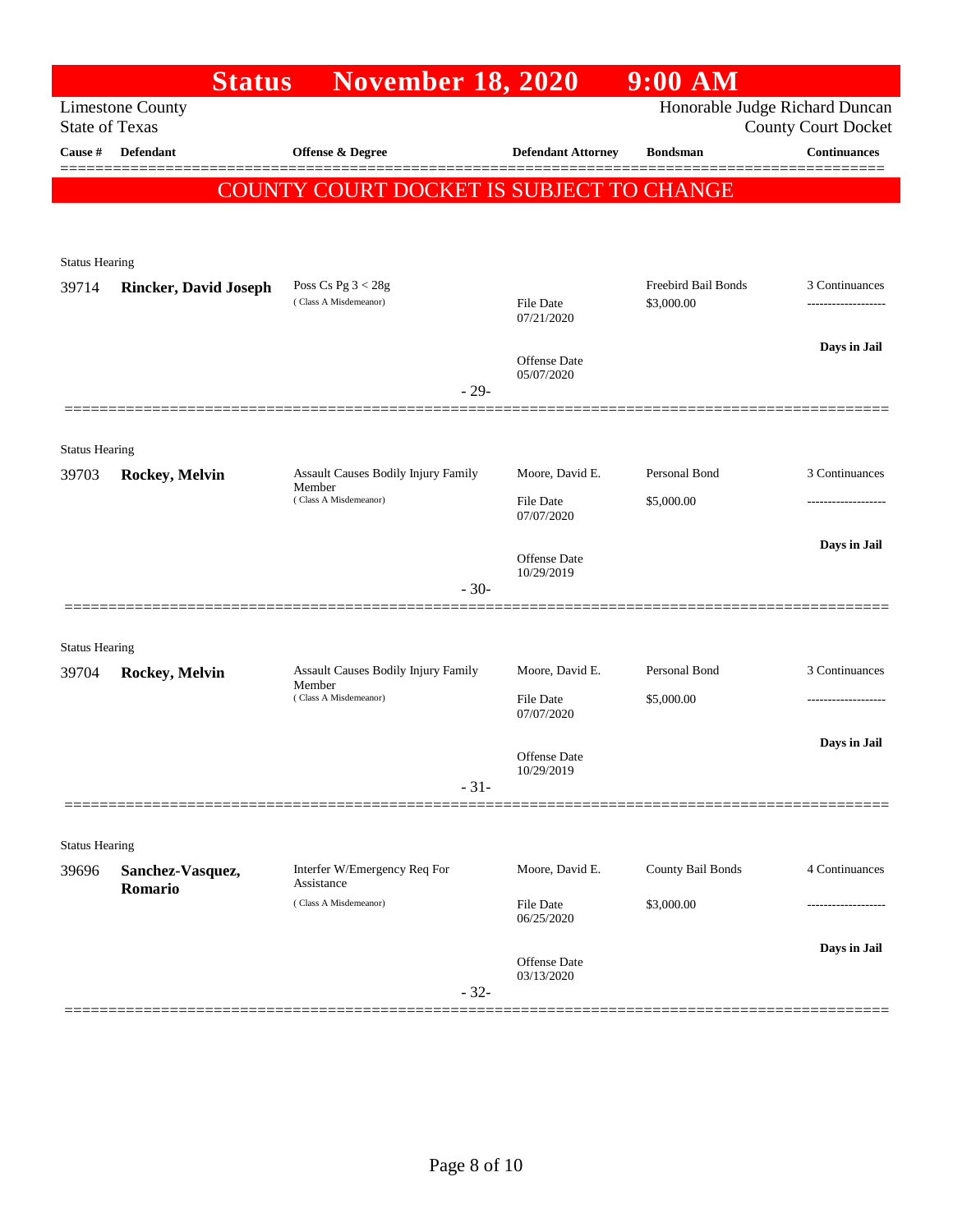|                       | <b>Status</b>                | <b>November 18, 2020</b>                                                      |                                     | 9:00 AM                     |                                                              |
|-----------------------|------------------------------|-------------------------------------------------------------------------------|-------------------------------------|-----------------------------|--------------------------------------------------------------|
| <b>State of Texas</b> | <b>Limestone County</b>      |                                                                               |                                     |                             | Honorable Judge Richard Duncan<br><b>County Court Docket</b> |
| Cause #               | Defendant                    | Offense & Degree                                                              | <b>Defendant Attorney</b>           | <b>Bondsman</b>             | <b>Continuances</b><br>======                                |
|                       |                              | COUNTY COURT DOCKET IS SUBJECT TO CHANGE                                      |                                     |                             |                                                              |
|                       |                              |                                                                               |                                     |                             |                                                              |
| <b>Status Hearing</b> |                              |                                                                               |                                     |                             |                                                              |
| 39714                 | <b>Rincker, David Joseph</b> | Poss Cs Pg $3 < 28g$<br>(Class A Misdemeanor)                                 |                                     | Freebird Bail Bonds         | 3 Continuances                                               |
|                       |                              |                                                                               | <b>File Date</b><br>07/21/2020      | \$3,000.00                  |                                                              |
|                       |                              |                                                                               | Offense Date                        |                             | Days in Jail                                                 |
|                       |                              | $-29-$                                                                        | 05/07/2020                          |                             |                                                              |
|                       |                              |                                                                               |                                     |                             |                                                              |
| <b>Status Hearing</b> |                              |                                                                               |                                     |                             |                                                              |
| 39703                 | <b>Rockey, Melvin</b>        | <b>Assault Causes Bodily Injury Family</b><br>Member<br>(Class A Misdemeanor) | Moore, David E.<br><b>File Date</b> | Personal Bond               | 3 Continuances                                               |
|                       |                              |                                                                               | 07/07/2020                          | \$5,000.00                  | .                                                            |
|                       |                              |                                                                               | Offense Date                        |                             | Days in Jail                                                 |
|                       |                              | $-30-$                                                                        | 10/29/2019                          |                             |                                                              |
|                       |                              |                                                                               |                                     |                             |                                                              |
| <b>Status Hearing</b> |                              |                                                                               |                                     |                             |                                                              |
| 39704                 | Rockey, Melvin               | Assault Causes Bodily Injury Family<br>Member<br>(Class A Misdemeanor)        | Moore, David E.<br><b>File Date</b> | Personal Bond<br>\$5,000.00 | 3 Continuances<br>.                                          |
|                       |                              |                                                                               | 07/07/2020                          |                             |                                                              |
|                       |                              |                                                                               | Offense Date                        |                             | Days in Jail                                                 |
|                       |                              | $-31-$                                                                        | 10/29/2019                          |                             |                                                              |
|                       |                              |                                                                               |                                     |                             |                                                              |
| <b>Status Hearing</b> |                              |                                                                               |                                     |                             |                                                              |
| 39696                 | Sanchez-Vasquez,<br>Romario  | Interfer W/Emergency Req For<br>Assistance                                    | Moore, David E.                     | County Bail Bonds           | 4 Continuances                                               |
|                       |                              | (Class A Misdemeanor)                                                         | <b>File Date</b><br>06/25/2020      | \$3,000.00                  |                                                              |
|                       |                              |                                                                               | Offense Date                        |                             | Days in Jail                                                 |
|                       |                              | $-32-$                                                                        | 03/13/2020                          |                             |                                                              |
|                       |                              |                                                                               |                                     |                             |                                                              |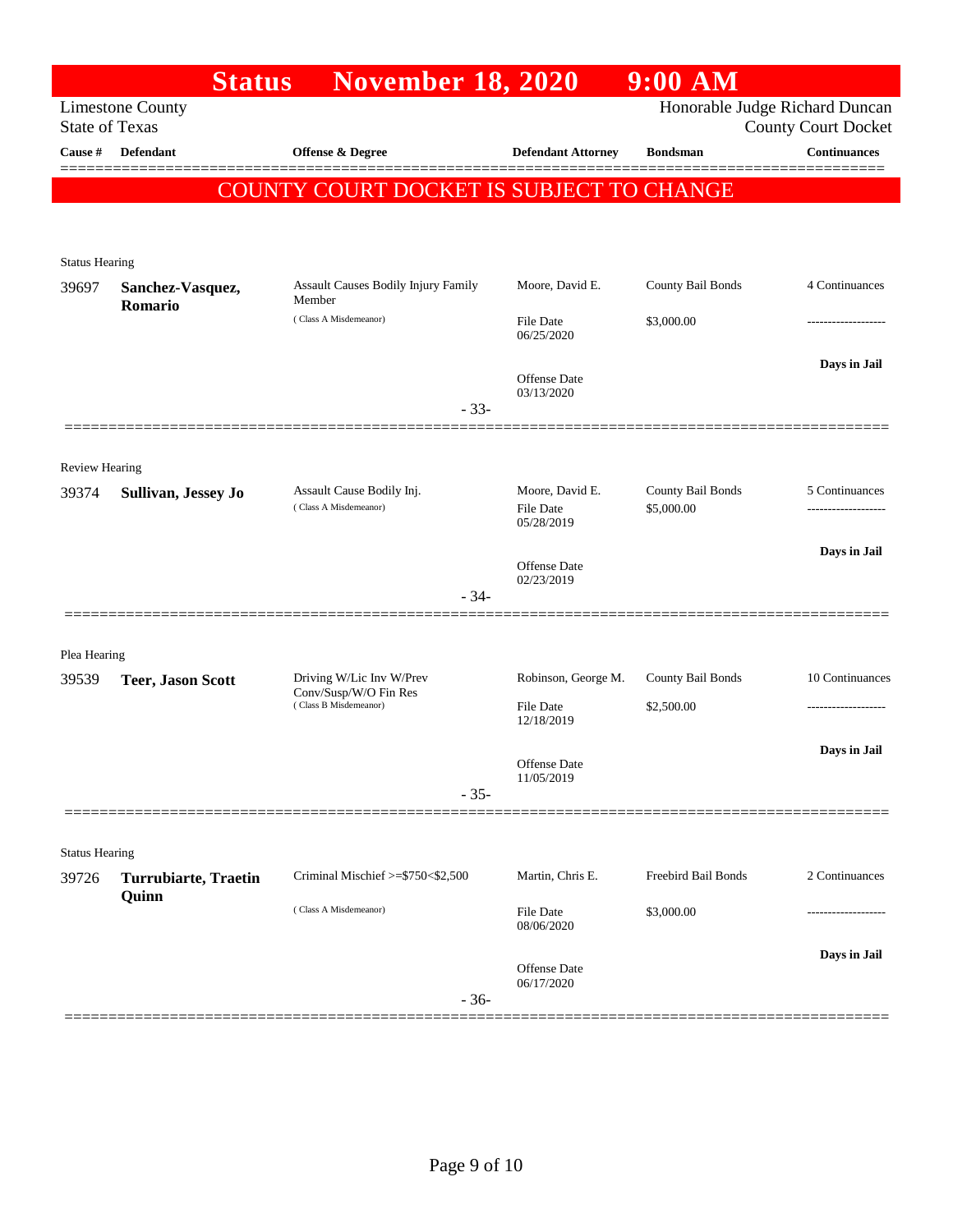|                                | <b>Status</b>                        | <b>November 18, 2020</b>                             |                                   | $9:00$ AM           |                                                              |
|--------------------------------|--------------------------------------|------------------------------------------------------|-----------------------------------|---------------------|--------------------------------------------------------------|
| <b>State of Texas</b>          | <b>Limestone County</b>              |                                                      |                                   |                     | Honorable Judge Richard Duncan<br><b>County Court Docket</b> |
| Cause #                        | Defendant                            | Offense & Degree                                     | <b>Defendant Attorney</b>         | <b>Bondsman</b>     | <b>Continuances</b>                                          |
|                                |                                      |                                                      |                                   |                     |                                                              |
|                                |                                      | COUNTY COURT DOCKET IS SUBJECT TO CHANGE             |                                   |                     |                                                              |
|                                |                                      |                                                      |                                   |                     |                                                              |
| <b>Status Hearing</b>          |                                      |                                                      |                                   |                     |                                                              |
| 39697                          | Sanchez-Vasquez,<br>Romario          | <b>Assault Causes Bodily Injury Family</b><br>Member | Moore, David E.                   | County Bail Bonds   | 4 Continuances                                               |
|                                |                                      | (Class A Misdemeanor)                                | File Date<br>06/25/2020           | \$3,000.00          |                                                              |
|                                |                                      |                                                      |                                   |                     | Days in Jail                                                 |
|                                |                                      |                                                      | <b>Offense</b> Date<br>03/13/2020 |                     |                                                              |
|                                |                                      | $-33-$                                               |                                   |                     |                                                              |
|                                |                                      |                                                      |                                   |                     |                                                              |
| <b>Review Hearing</b><br>39374 | Sullivan, Jessey Jo                  | Assault Cause Bodily Inj.                            | Moore, David E.                   | County Bail Bonds   | 5 Continuances                                               |
|                                |                                      | (Class A Misdemeanor)                                | <b>File Date</b><br>05/28/2019    | \$5,000.00          |                                                              |
|                                |                                      |                                                      |                                   |                     | Days in Jail                                                 |
|                                |                                      | $-34-$                                               | <b>Offense</b> Date<br>02/23/2019 |                     |                                                              |
|                                |                                      |                                                      |                                   |                     |                                                              |
| Plea Hearing                   |                                      |                                                      |                                   |                     |                                                              |
| 39539                          | <b>Teer, Jason Scott</b>             | Driving W/Lic Inv W/Prev                             | Robinson, George M.               | County Bail Bonds   | 10 Continuances                                              |
|                                |                                      | Conv/Susp/W/O Fin Res<br>(Class B Misdemeanor)       | <b>File Date</b><br>12/18/2019    | \$2,500.00          | .                                                            |
|                                |                                      |                                                      |                                   |                     | Days in Jail                                                 |
|                                |                                      |                                                      | Offense Date<br>11/05/2019        |                     |                                                              |
|                                |                                      | $-35-$                                               |                                   |                     |                                                              |
|                                |                                      |                                                      |                                   |                     |                                                              |
| <b>Status Hearing</b>          |                                      | Criminal Mischief >=\$750<\$2,500                    |                                   | Freebird Bail Bonds | 2 Continuances                                               |
| 39726                          | <b>Turrubiarte, Traetin</b><br>Quinn |                                                      | Martin, Chris E.                  |                     |                                                              |
|                                |                                      | (Class A Misdemeanor)                                | File Date<br>08/06/2020           | \$3,000.00          |                                                              |
|                                |                                      |                                                      |                                   |                     | Days in Jail                                                 |
|                                |                                      | $-36-$                                               | Offense Date<br>06/17/2020        |                     |                                                              |
|                                |                                      |                                                      |                                   |                     |                                                              |